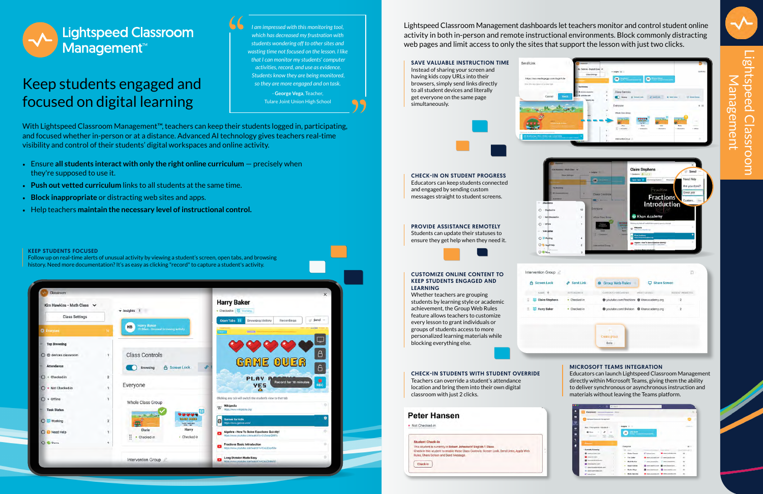Lightspeed Classroom Management dashboards let teachers monitor and control student online activity in both in-person and remote instructional environments. Block commonly distracting web pages and limit access to only the sites that support the lesson with just two clicks.

# **Lightspeed Classroom** Management<sup>™</sup>

### Keep students engaged and focused on digital learning

With Lightspeed Classroom Management™, teachers can keep their students logged in, participating, and focused whether in-person or at a distance. Advanced AI technology gives teachers real-time visibility and control of their students' digital workspaces and online activity.

- Ensure **all students interact with only the right online curriculum** precisely when they're supposed to use it.
- **Push out vetted curriculum** links to all students at the same time.
- **Block inappropriate** or distracting web sites and apps.
- Help teachers **maintain the necessary level of instructional control.**

Follow up on real-time alerts of unusual activity by viewing a student's screen, open tabs, and browsing history. Need more documentation? It's as easy as clicking "record" to capture a student's activity.

| Classroom                                                           |                |                                                          |                                                                                                          |                                                                                                | $\times$          |
|---------------------------------------------------------------------|----------------|----------------------------------------------------------|----------------------------------------------------------------------------------------------------------|------------------------------------------------------------------------------------------------|-------------------|
| Kim Hawkins - Math Class V<br>$\blacktriangleright$ Insights 1<br>m |                |                                                          | <b>Harry Baker</b><br>· Checked-in El Working                                                            |                                                                                                |                   |
| <b>Class Settings</b>                                               |                |                                                          |                                                                                                          | Open Tabs 11<br><b>Browsing History</b><br>Recordings                                          | $\mathcal P$ Send |
| <b>Q</b> Everyone                                                   | 16.            | Harry Baker<br>10:24am - Unusual browsing activity<br>HB |                                                                                                          | 44aurs +<br>Citizen                                                                            |                   |
| <b>Top Browsing</b>                                                 |                |                                                          |                                                                                                          |                                                                                                |                   |
| ○ <b>@</b> devices.classroom                                        | D.             | <b>Class Controls</b>                                    |                                                                                                          |                                                                                                | $\theta$          |
| Attendance                                                          |                | <b>Browsing</b>                                          | A Screen Lock<br>op                                                                                      | GAME OUER                                                                                      | 6                 |
| $O$ = Checked-in                                                    | $\overline{2}$ |                                                          |                                                                                                          | <b>PLAY A</b><br><b>Record for 10 minutes</b>                                                  | ۰                 |
| • Not Checked-in<br>$\circ$                                         | Ł              | Everyone                                                 |                                                                                                          | YES<br>۵                                                                                       | <b>REC</b>        |
| $O \cdot$ Offline                                                   | $\mathbf{1}$   | Whole Class Group                                        |                                                                                                          | Clicking any tab will switch the student's view to that tab                                    |                   |
| <b>Task Status</b>                                                  |                |                                                          | ---                                                                                                      | Wikipedia<br>W<br>https://www.wikipedia.org/                                                   |                   |
| O Working                                                           | $\overline{2}$ |                                                          | <b>CANZ GUID</b><br>$\begin{array}{cc} \text{PLHY} & \text{NGAZW} \\ \text{VFA} & \text{NQ} \end{array}$ | <b>Games for kids</b><br>0<br>https://www.games.com/                                           | ۰                 |
| Need Help<br>$\circ$                                                | $\mathbf{I}$   | Clarie<br>×<br>Checked-in<br>٠                           | Harry<br>· Checked-in                                                                                    | Algebra - How To Solve Equations Quickly!<br>œ<br>https://www.youtube.com/watch?v=Z-ZkmpQBIFo- | ×,                |
| O C Done                                                            | $\mathbf{1}$   |                                                          |                                                                                                          | <b>Fractions Basic Introduction</b><br>https://www.youtube.com/watch?v=GvLiEigxS6s             | ö.                |
|                                                                     |                | Intervention Group                                       |                                                                                                          | <b>Long Division Made Easy</b><br>œ<br>https://www.youtube.com/watch?y=GeuZ8stw00              | o                 |

### SAVE VALUABLE INSTRUCTION TIME

Instead of sharing your screen and having kids copy URLs into their browsers, simply send links directly to all student devices and literally get everyone on the same page simultaneously.



| <b>PROVIDE ASSISTANCE REMOTELY</b>      |
|-----------------------------------------|
| Students can update their statuses to   |
| ensure they get help when they need it. |



#### CUSTOMIZE ONLINE CONTENT TO KEEP STUDENTS ENGAGED AND LEARNING

Whether teachers are grouping students by learning style or academic achievement, the Group Web Rules feature allows teachers to customize every lesson to grant individuals or groups of students access to more personalized learning materials while blocking everything else.

#### A Screen Lock NAME T **Ed Claire Stephens E** Harry Baker

Intervention Group

.<br>Tesk Statu O till Working O Need Help  $O$   $O$  Done

### KEEP STUDENTS FOCUSED

*I am impressed with this monitoring tool, which has decreased my frustration with students wondering off to other sites and wasting time not focused on the lesson. I like that I can monitor my students' computer activities, record, and use as evidence. Students know they are being monitored, so they are more engaged and on task.* - **George Vega**, Teacher, Tulare Joint Union High School

> CHECK-IN ON STUDENT PROGRESS Educators can keep students connected and engaged by sending custom messages straight to student screens.

https://sso.readingeggs.com/login?clie

Send Link

#### MICROSOFT TEAMS INTEGRATION

Educators can launch Lightspeed Classroom Management directly within Microsoft Teams, giving them the ability to deliver synchronous or asynchronous instruction and materials without leaving the Teams platform.

| Classroom Gamman Haapman Millet                                                                                                                                            |                            |                                 |                                            |                            |                   |
|----------------------------------------------------------------------------------------------------------------------------------------------------------------------------|----------------------------|---------------------------------|--------------------------------------------|----------------------------|-------------------|
|                                                                                                                                                                            |                            |                                 |                                            |                            |                   |
| Lightgreed Cassecorn Management                                                                                                                                            |                            |                                 |                                            |                            |                   |
| Mrs. Thompkins - Grade 6-                                                                                                                                                  |                            | I braights (8) to               |                                            |                            |                   |
| ×<br><b>B</b> None<br>$\sim$<br>$\frac{1}{2} \left( \frac{1}{2} \right) \left( \frac{1}{2} \right) \left( \frac{1}{2} \right) \left( \frac{1}{2} \right)$<br>on processing | $\cdots$<br><b>COLLEGE</b> | <b><i><u>Side Shown</u></i></b> | <b>Column Community Community Accounts</b> |                            |                   |
|                                                                                                                                                                            |                            |                                 |                                            |                            |                   |
| $\sim$                                                                                                                                                                     |                            |                                 |                                            |                            |                   |
|                                                                                                                                                                            | Everyone                   |                                 |                                            |                            |                   |
| - Currently Browning                                                                                                                                                       |                            | <b>Service</b>                  | <b>Limits</b><br><b>COLOR</b>              |                            |                   |
| <b>Q</b> meanwhile com                                                                                                                                                     |                            | Carter Conner                   | <b>KT</b> Valvestions                      | <b>ID</b> area in Ade com- | 66                |
| The country and The                                                                                                                                                        |                            | Tim Carter                      | <b>B</b> www.joutlubei.com                 | (2) www.iabooks.com        | ×<br>$\mathbf{A}$ |
| The www.Mackhourd.com                                                                                                                                                      |                            | <b>Mark McMale</b>              |                                            |                            | ÷                 |
| The conclusion and                                                                                                                                                         |                            |                                 | www.powersche                              | мии ромевате.              | dit)<br>÷         |
| C www.mangleratook.com                                                                                                                                                     |                            | <b>Angle Gabies</b>             | To we haid to con-                         | <b>To</b> www.blacktowed   | $38 -$            |
| www.iqueWrickie.com                                                                                                                                                        |                            | <b>Reiffel Mays</b>             | <b>B</b> wind black board                  | www.isserhistoom           | M.                |



Lights Lightspeed Classroom Management peed  $\overline{\mathbf{c}}$ **DO** œ  $\bigcap$ **Gme** ISSej; J<br>O Ŏ

CHECK-IN STUDENTS WITH STUDENT OVERRIDE

Teachers can override a student's attendance location and bring them into their own digital classroom with just 2 clicks.

• Not Checked-in

#### **Student Check-in**

This student is currently in Robert Johnston's' English 1 Class Check-in this student to enable these Class Controls: Screen Lock, Send Links, Apply Web **Rules, Share Screen and Send Message** 

Check-In





| Send Link  | <b>Group Web Rules</b>                    | <b>Share Screen</b> |                         |
|------------|-------------------------------------------|---------------------|-------------------------|
| ATTEMDANCE | CURRENTLY BROWSING                        | MOST VIEWED.        | RECENT WEBSITES         |
| Checked-in | g youtube.com/fractions @ khanacademy.org |                     | $\overline{\mathbf{2}}$ |
| Checked-in | g youtube.com/division @ khanacademy.org  |                     | $\overline{2}$          |
|            | Create group                              |                     |                         |
|            | Beta                                      |                     |                         |